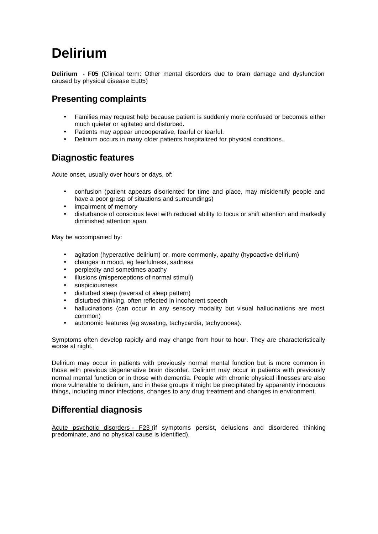# **Delirium**

**Delirium - F05** (Clinical term: Other mental disorders due to brain damage and dysfunction caused by physical disease Eu05)

# **Presenting complaints**

- Families may request help because patient is suddenly more confused or becomes either much quieter or agitated and disturbed.
- Patients may appear uncooperative, fearful or tearful.
- Delirium occurs in many older patients hospitalized for physical conditions.

### **Diagnostic features**

Acute onset, usually over hours or days, of:

- confusion (patient appears disoriented for time and place, may misidentify people and have a poor grasp of situations and surroundings)
- impairment of memory
- disturbance of conscious level with reduced ability to focus or shift attention and markedly diminished attention span.

May be accompanied by:

- agitation (hyperactive delirium) or, more commonly, apathy (hypoactive delirium)
- changes in mood, eg fearfulness, sadness
- perplexity and sometimes apathy
- illusions (misperceptions of normal stimuli)
- suspiciousness
- disturbed sleep (reversal of sleep pattern)
- disturbed thinking, often reflected in incoherent speech
- hallucinations (can occur in any sensory modality but visual hallucinations are most common)
- autonomic features (eg sweating, tachycardia, tachypnoea).

Symptoms often develop rapidly and may change from hour to hour. They are characteristically worse at night.

Delirium may occur in patients with previously normal mental function but is more common in those with previous degenerative brain disorder. Delirium may occur in patients with previously normal mental function or in those with dementia. People with chronic physical illnesses are also more vulnerable to delirium, and in these groups it might be precipitated by apparently innocuous things, including minor infections, changes to any drug treatment and changes in environment.

## **Differential diagnosis**

Acute psychotic disorders - F23 (if symptoms persist, delusions and disordered thinking predominate, and no physical cause is identified).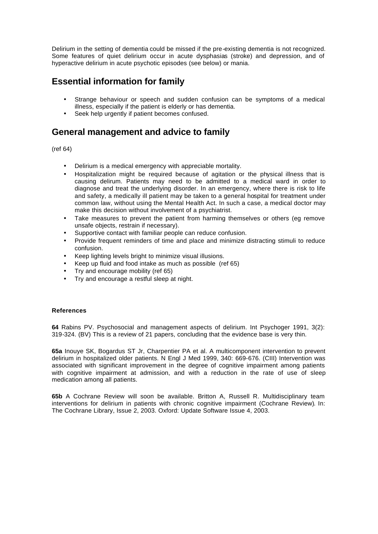Delirium in the setting of dementia could be missed if the pre-existing dementia is not recognized. Some features of quiet delirium occur in acute dysphasias (stroke) and depression, and of hyperactive delirium in acute psychotic episodes (see below) or mania.

## **Essential information for family**

- Strange behaviour or speech and sudden confusion can be symptoms of a medical illness, especially if the patient is elderly or has dementia.
- Seek help urgently if patient becomes confused.

### **General management and advice to family**

(ref 64)

- Delirium is a medical emergency with appreciable mortality.
- Hospitalization might be required because of agitation or the physical illness that is causing delirum. Patients may need to be admitted to a medical ward in order to diagnose and treat the underlying disorder. In an emergency, where there is risk to life and safety, a medically ill patient may be taken to a general hospital for treatment under common law, without using the Mental Health Act. In such a case, a medical doctor may make this decision without involvement of a psychiatrist.
- Take measures to prevent the patient from harming themselves or others (eg remove unsafe objects, restrain if necessary).
- Supportive contact with familiar people can reduce confusion.
- Provide frequent reminders of time and place and minimize distracting stimuli to reduce confusion.
- Keep lighting levels bright to minimize visual illusions.
- Keep up fluid and food intake as much as possible (ref 65)
- Try and encourage mobility (ref 65)
- Try and encourage a restful sleep at night.

#### **References**

**64** Rabins PV. Psychosocial and management aspects of delirium. Int Psychoger 1991, 3(2): 319-324. (BV) This is a review of 21 papers, concluding that the evidence base is very thin.

**65a** Inouye SK, Bogardus ST Jr, Charpentier PA et al. A multicomponent intervention to prevent delirium in hospitalized older patients. N Engl J Med 1999, 340: 669-676. (CIII) Intervention was associated with significant improvement in the degree of cognitive impairment among patients with cognitive impairment at admission, and with a reduction in the rate of use of sleep medication among all patients.

**65b** A Cochrane Review will soon be available. Britton A, Russell R. Multidisciplinary team interventions for delirium in patients with chronic cognitive impairment (Cochrane Review). In: The Cochrane Library, Issue 2, 2003. Oxford: Update Software Issue 4, 2003.